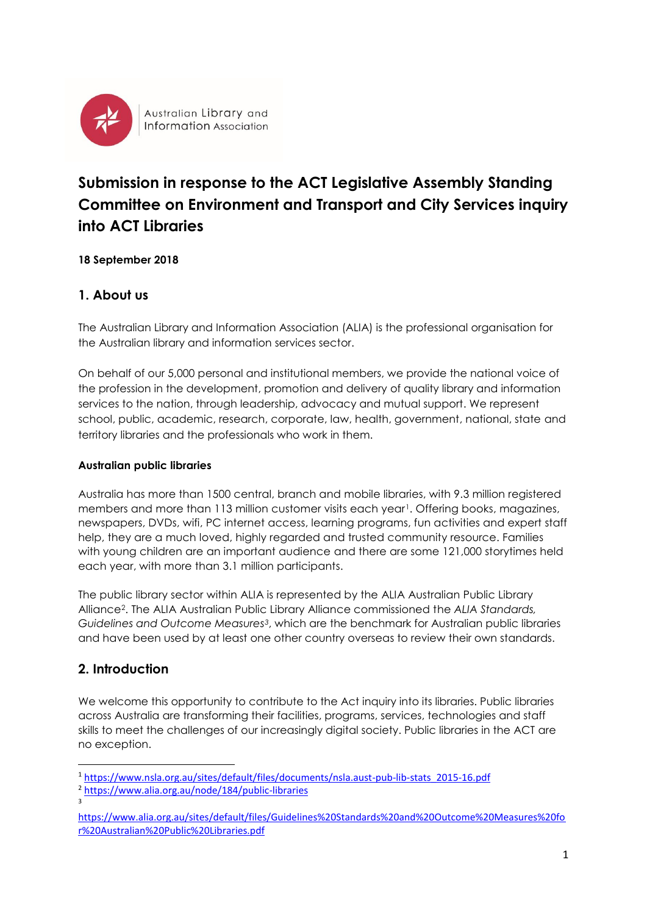

Australian Library and **Information Association** 

# **Submission in response to the ACT Legislative Assembly Standing Committee on Environment and Transport and City Services inquiry into ACT Libraries**

#### **18 September 2018**

# **1. About us**

The Australian Library and Information Association (ALIA) is the professional organisation for the Australian library and information services sector.

On behalf of our 5,000 personal and institutional members, we provide the national voice of the profession in the development, promotion and delivery of quality library and information services to the nation, through leadership, advocacy and mutual support. We represent school, public, academic, research, corporate, law, health, government, national, state and territory libraries and the professionals who work in them.

#### **Australian public libraries**

Australia has more than 1500 central, branch and mobile libraries, with 9.3 million registered members and more than 113 million customer visits each year<sup>1</sup>. Offering books, magazines, newspapers, DVDs, wifi, PC internet access, learning programs, fun activities and expert staff help, they are a much loved, highly regarded and trusted community resource. Families with young children are an important audience and there are some 121,000 storytimes held each year, with more than 3.1 million participants.

The public library sector within ALIA is represented by the ALIA Australian Public Library Alliance2. The ALIA Australian Public Library Alliance commissioned the *ALIA Standards, Guidelines and Outcome Measures3*, which are the benchmark for Australian public libraries and have been used by at least one other country overseas to review their own standards.

# **2. Introduction**

We welcome this opportunity to contribute to the Act inquiry into its libraries. Public libraries across Australia are transforming their facilities, programs, services, technologies and staff skills to meet the challenges of our increasingly digital society. Public libraries in the ACT are no exception.

**.** 

<sup>1</sup> [https://www.nsla.org.au/sites/default/files/documents/nsla.aust-pub-lib-stats\\_2015-16.pdf](https://www.nsla.org.au/sites/default/files/documents/nsla.aust-pub-lib-stats_2015-16.pdf) <sup>2</sup> <https://www.alia.org.au/node/184/public-libraries>

<sup>3</sup>

[https://www.alia.org.au/sites/default/files/Guidelines%20Standards%20and%20Outcome%20Measures%20fo](https://www.alia.org.au/sites/default/files/Guidelines%20Standards%20and%20Outcome%20Measures%20for%20Australian%20Public%20Libraries.pdf) [r%20Australian%20Public%20Libraries.pdf](https://www.alia.org.au/sites/default/files/Guidelines%20Standards%20and%20Outcome%20Measures%20for%20Australian%20Public%20Libraries.pdf)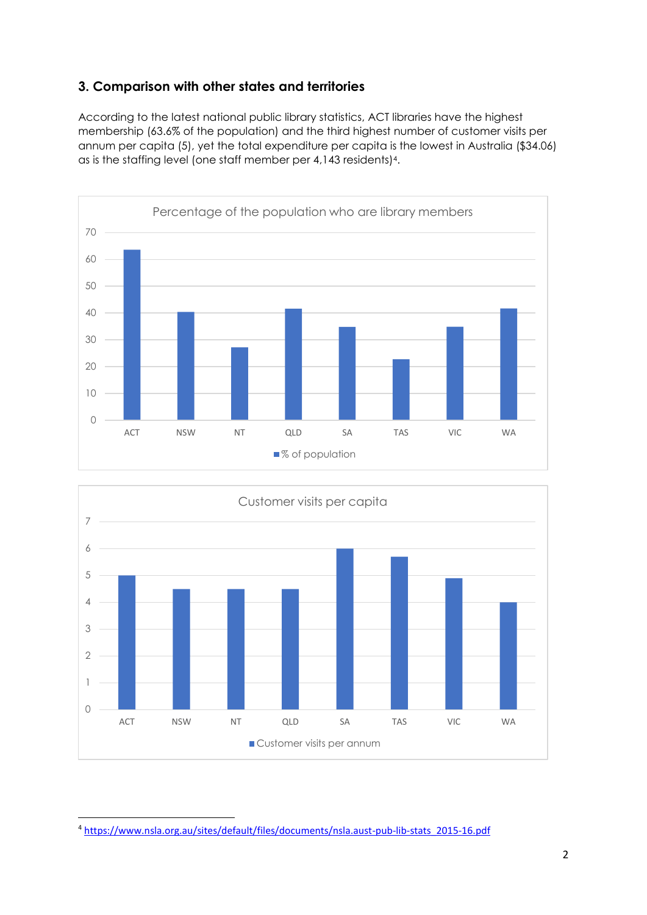# **3. Comparison with other states and territories**

According to the latest national public library statistics, ACT libraries have the highest membership (63.6% of the population) and the third highest number of customer visits per annum per capita (5), yet the total expenditure per capita is the lowest in Australia (\$34.06) as is the staffing level (one staff member per 4,143 residents)4.





**<sup>.</sup>** <sup>4</sup> [https://www.nsla.org.au/sites/default/files/documents/nsla.aust-pub-lib-stats\\_2015-16.pdf](https://www.nsla.org.au/sites/default/files/documents/nsla.aust-pub-lib-stats_2015-16.pdf)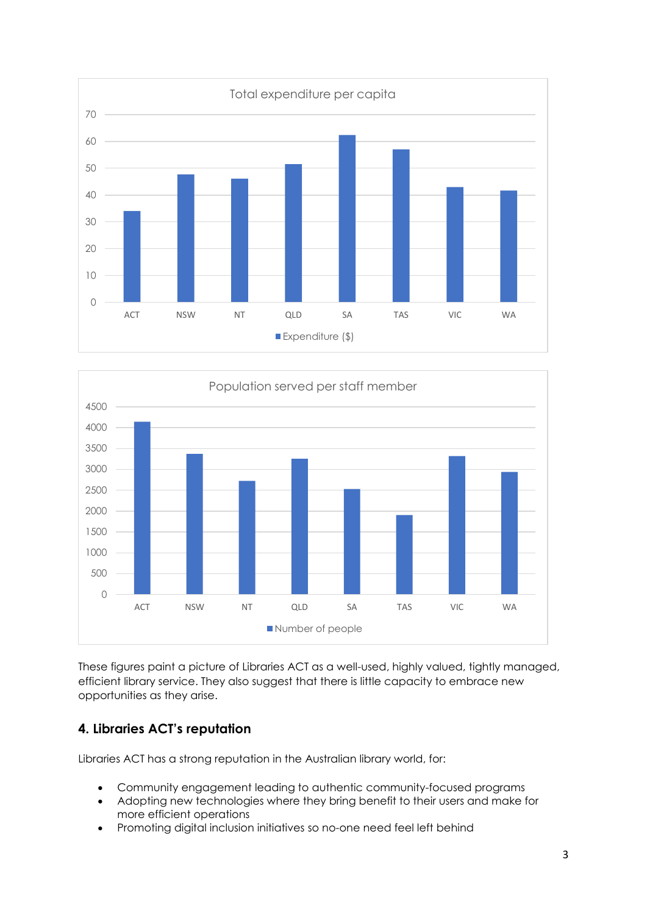



These figures paint a picture of Libraries ACT as a well-used, highly valued, tightly managed, efficient library service. They also suggest that there is little capacity to embrace new opportunities as they arise.

# **4. Libraries ACT's reputation**

Libraries ACT has a strong reputation in the Australian library world, for:

- Community engagement leading to authentic community-focused programs
- Adopting new technologies where they bring benefit to their users and make for more efficient operations
- Promoting digital inclusion initiatives so no-one need feel left behind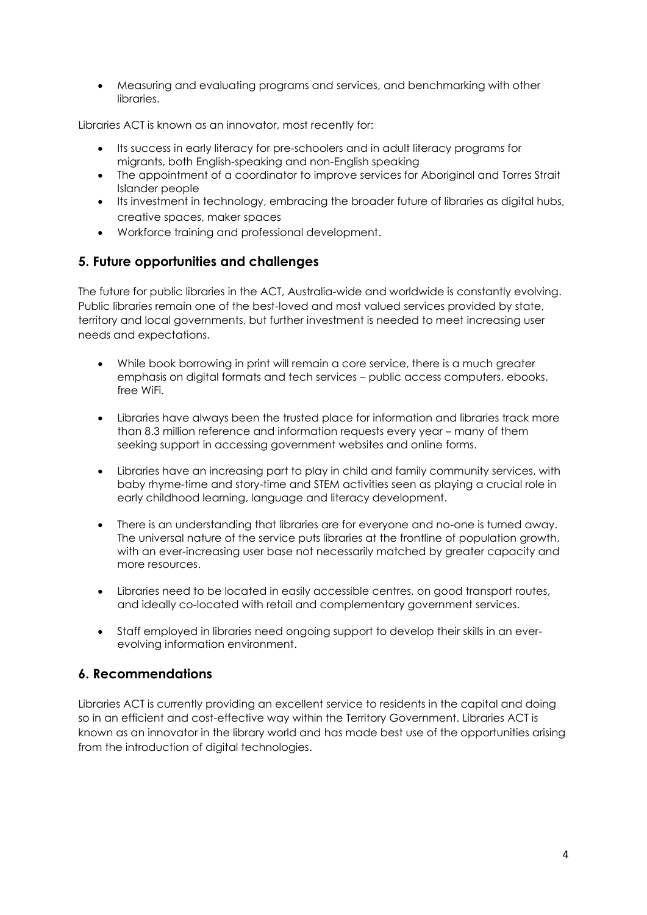• Measuring and evaluating programs and services, and benchmarking with other libraries.

Libraries ACT is known as an innovator, most recently for:

- Its success in early literacy for pre-schoolers and in adult literacy programs for migrants, both English-speaking and non-English speaking
- The appointment of a coordinator to improve services for Aboriginal and Torres Strait Islander people
- Its investment in technology, embracing the broader future of libraries as digital hubs, creative spaces, maker spaces
- Workforce training and professional development.

#### **5. Future opportunities and challenges**

The future for public libraries in the ACT, Australia-wide and worldwide is constantly evolving. Public libraries remain one of the best-loved and most valued services provided by state, territory and local governments, but further investment is needed to meet increasing user needs and expectations.

- While book borrowing in print will remain a core service, there is a much greater emphasis on digital formats and tech services – public access computers, ebooks, free WiFi.
- Libraries have always been the trusted place for information and libraries track more than 8.3 million reference and information requests every year – many of them seeking support in accessing government websites and online forms.
- Libraries have an increasing part to play in child and family community services, with baby rhyme-time and story-time and STEM activities seen as playing a crucial role in early childhood learning, language and literacy development.
- There is an understanding that libraries are for everyone and no-one is turned away. The universal nature of the service puts libraries at the frontline of population growth, with an ever-increasing user base not necessarily matched by greater capacity and more resources.
- Libraries need to be located in easily accessible centres, on good transport routes, and ideally co-located with retail and complementary government services.
- Staff employed in libraries need ongoing support to develop their skills in an everevolving information environment.

# **6. Recommendations**

Libraries ACT is currently providing an excellent service to residents in the capital and doing so in an efficient and cost-effective way within the Territory Government. Libraries ACT is known as an innovator in the library world and has made best use of the opportunities arising from the introduction of digital technologies.